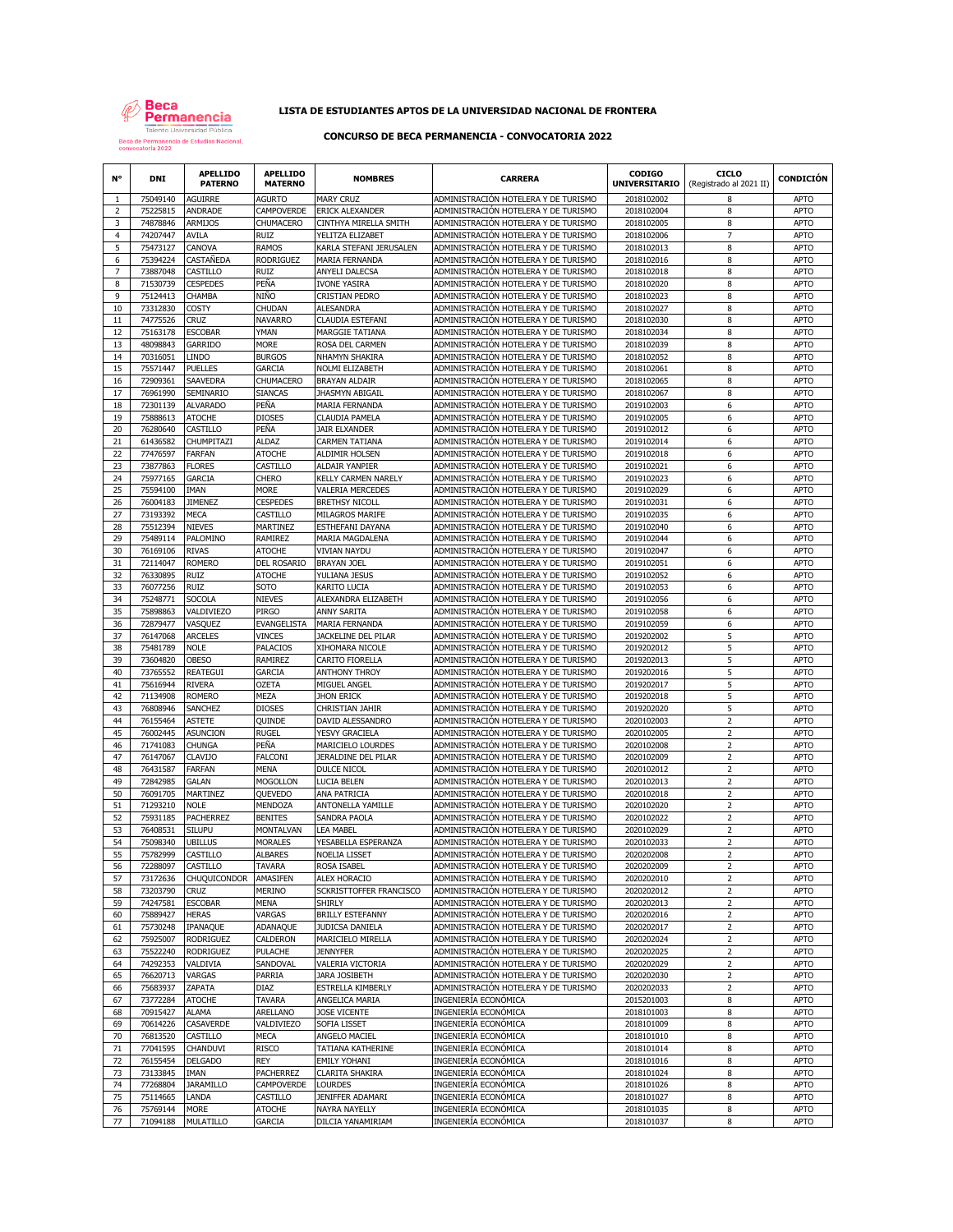

# **LISTA DE ESTUDIANTES APTOS DE LA UNIVERSIDAD NACIONAL DE FRONTERA**

## **CONCURSO DE BECA PERMANENCIA - CONVOCATORIA 2022**

| N°             | <b>DNI</b>           | <b>APELLIDO</b><br><b>PATERNO</b>    | <b>APELLIDO</b><br><b>MATERNO</b>   | <b>NOMBRES</b>                            | <b>CARRERA</b>                                                               | <b>CODIGO</b><br><b>UNIVERSITARIO</b> | <b>CICLO</b><br>(Registrado al 2021 II) | <b>CONDICIÓN</b>           |
|----------------|----------------------|--------------------------------------|-------------------------------------|-------------------------------------------|------------------------------------------------------------------------------|---------------------------------------|-----------------------------------------|----------------------------|
| -1             | 75049140             | AGUIRRE                              | <b>AGURTO</b>                       | <b>MARY CRUZ</b>                          | ADMINISTRACIÓN HOTELERA Y DE TURISMO                                         | 2018102002                            | 8                                       | <b>APTO</b>                |
| $\overline{2}$ | 75225815             | ANDRADE                              | CAMPOVERDE                          | ERICK ALEXANDER                           | ADMINISTRACIÓN HOTELERA Y DE TURISMO                                         | 2018102004                            | 8                                       | APTO                       |
| 3              | 74878846             | ARMIJOS                              | CHUMACERO                           | CINTHYA MIRELLA SMITH                     | ADMINISTRACIÓN HOTELERA Y DE TURISMO                                         | 2018102005                            | 8                                       | <b>APTO</b>                |
| 4              | 74207447             | AVILA                                | <b>RUIZ</b>                         | YELITZA ELIZABET                          | ADMINISTRACIÓN HOTELERA Y DE TURISMO                                         | 2018102006                            | $\overline{7}$                          | <b>APTO</b>                |
| 5              | 75473127             | CANOVA                               | <b>RAMOS</b>                        | KARLA STEFANI JERUSALEN                   | ADMINISTRACIÓN HOTELERA Y DE TURISMO                                         | 2018102013                            | 8                                       | <b>APTO</b>                |
| 6              | 75394224             | CASTAÑEDA                            | RODRIGUEZ                           | MARIA FERNANDA                            | ADMINISTRACIÓN HOTELERA Y DE TURISMO                                         | 2018102016                            | 8                                       | <b>APTO</b>                |
| $\overline{7}$ | 73887048             | CASTILLO                             | <b>RUIZ</b>                         | ANYELI DALECSA                            | ADMINISTRACIÓN HOTELERA Y DE TURISMO                                         | 2018102018                            | 8                                       | <b>APTO</b>                |
| 8<br>9         | 71530739<br>75124413 | <b>CESPEDES</b><br>CHAMBA            | PEÑA<br>NIÑO                        | <b>IVONE YASIRA</b><br>CRISTIAN PEDRO     | ADMINISTRACIÓN HOTELERA Y DE TURISMO<br>ADMINISTRACIÓN HOTELERA Y DE TURISMO | 2018102020<br>2018102023              | 8<br>8                                  | <b>APTO</b><br><b>APTO</b> |
| 10             | 73312830             | COSTY                                | CHUDAN                              | <b>ALESANDRA</b>                          | ADMINISTRACIÓN HOTELERA Y DE TURISMO                                         | 2018102027                            | 8                                       | <b>APTO</b>                |
| 11             | 74775526             | <b>CRUZ</b>                          | <b>NAVARRO</b>                      | CLAUDIA ESTEFANI                          | ADMINISTRACIÓN HOTELERA Y DE TURISMO                                         | 2018102030                            | 8                                       | APTO                       |
| 12             | 75163178             | <b>ESCOBAR</b>                       | YMAN                                | MARGGIE TATIANA                           | ADMINISTRACIÓN HOTELERA Y DE TURISMO                                         | 2018102034                            | 8                                       | APTO                       |
| 13             | 48098843             | GARRIDO                              | <b>MORE</b>                         | ROSA DEL CARMEN                           | ADMINISTRACIÓN HOTELERA Y DE TURISMO                                         | 2018102039                            | 8                                       | <b>APTO</b>                |
| 14             | 70316051             | LINDO                                | <b>BURGOS</b>                       | NHAMYN SHAKIRA                            | ADMINISTRACIÓN HOTELERA Y DE TURISMO                                         | 2018102052                            | 8                                       | <b>APTO</b>                |
| 15             | 75571447             | <b>PUELLES</b>                       | <b>GARCIA</b>                       | NOLMI ELIZABETH                           | ADMINISTRACIÓN HOTELERA Y DE TURISMO                                         | 2018102061                            | 8                                       | <b>APTO</b>                |
| 16             | 72909361             | <b>SAAVEDRA</b>                      | CHUMACERO                           | <b>BRAYAN ALDAIR</b>                      | ADMINISTRACIÓN HOTELERA Y DE TURISMO                                         | 2018102065                            | 8                                       | <b>APTO</b>                |
| 17             | 76961990             | SEMINARIO                            | <b>SIANCAS</b>                      | JHASMYN ABIGAIL                           | ADMINISTRACIÓN HOTELERA Y DE TURISMO                                         | 2018102067                            | 8                                       | <b>APTO</b>                |
| 18             | 72301139             | <b>ALVARADO</b>                      | PEÑA                                | MARIA FERNANDA                            | ADMINISTRACIÓN HOTELERA Y DE TURISMO                                         | 2019102003                            | 6                                       | <b>APTO</b>                |
| 19<br>20       | 75888613<br>76280640 | ATOCHE<br>CASTILLO                   | DIOSES<br>PEÑA                      | CLAUDIA PAMELA<br>JAIR ELXANDER           | ADMINISTRACIÓN HOTELERA Y DE TURISMO<br>ADMINISTRACIÓN HOTELERA Y DE TURISMO | 2019102005<br>2019102012              | 6<br>6                                  | <b>APTO</b><br><b>APTO</b> |
| 21             | 61436582             | CHUMPITAZI                           | <b>ALDAZ</b>                        | <b>CARMEN TATIANA</b>                     | ADMINISTRACIÓN HOTELERA Y DE TURISMO                                         | 2019102014                            | 6                                       | APTO                       |
| 22             | 77476597             | <b>FARFAN</b>                        | <b>ATOCHE</b>                       | ALDIMIR HOLSEN                            | ADMINISTRACIÓN HOTELERA Y DE TURISMO                                         | 2019102018                            | 6                                       | <b>APTO</b>                |
| 23             | 73877863             | <b>FLORES</b>                        | CASTILLO                            | ALDAIR YANPIER                            | ADMINISTRACIÓN HOTELERA Y DE TURISMO                                         | 2019102021                            | 6                                       | <b>APTO</b>                |
| 24             | 75977165             | GARCIA                               | CHERO                               | KELLY CARMEN NARELY                       | ADMINISTRACIÓN HOTELERA Y DE TURISMO                                         | 2019102023                            | 6                                       | <b>APTO</b>                |
| 25             | 75594100             | <b>IMAN</b>                          | <b>MORE</b>                         | VALERIA MERCEDES                          | ADMINISTRACIÓN HOTELERA Y DE TURISMO                                         | 2019102029                            | 6                                       | <b>APTO</b>                |
| 26             | 76004183             | <b>JIMENEZ</b>                       | <b>CESPEDES</b>                     | <b>BRETHSY NICOLL</b>                     | ADMINISTRACIÓN HOTELERA Y DE TURISMO                                         | 2019102031                            | 6                                       | <b>APTO</b>                |
| 27             | 73193392             | MECA                                 | CASTILLO                            | <b>MILAGROS MARIFE</b>                    | ADMINISTRACIÓN HOTELERA Y DE TURISMO                                         | 2019102035                            | 6                                       | <b>APTO</b>                |
| 28             | 75512394             | <b>NIEVES</b>                        | MARTINEZ                            | ESTHEFANI DAYANA                          | ADMINISTRACIÓN HOTELERA Y DE TURISMO                                         | 2019102040                            | 6                                       | APTO                       |
| 29             | 75489114<br>76169106 | PALOMINO                             | RAMIREZ                             | <b>MARIA MAGDALENA</b>                    | ADMINISTRACIÓN HOTELERA Y DE TURISMO<br>ADMINISTRACIÓN HOTELERA Y DE TURISMO | 2019102044                            | 6                                       | <b>APTO</b>                |
| 30<br>31       | 72114047             | <b>RIVAS</b><br><b>ROMERO</b>        | <b>ATOCHE</b><br><b>DEL ROSARIO</b> | <b>VIVIAN NAYDU</b><br><b>BRAYAN JOEL</b> | ADMINISTRACIÓN HOTELERA Y DE TURISMO                                         | 2019102047<br>2019102051              | 6<br>6                                  | <b>APTO</b><br>APTO        |
| 32             | 76330895             | <b>RUIZ</b>                          | <b>ATOCHE</b>                       | YULIANA JESUS                             | ADMINISTRACIÓN HOTELERA Y DE TURISMO                                         | 2019102052                            | 6                                       | APTO                       |
| 33             | 76077256             | <b>RUIZ</b>                          | SOTO                                | KARITO LUCIA                              | ADMINISTRACIÓN HOTELERA Y DE TURISMO                                         | 2019102053                            | 6                                       | <b>APTO</b>                |
| 34             | 75248771             | <b>SOCOLA</b>                        | NIEVES                              | ALEXANDRA ELIZABETH                       | ADMINISTRACIÓN HOTELERA Y DE TURISMO                                         | 2019102056                            | 6                                       | <b>APTO</b>                |
| 35             | 75898863             | VALDIVIEZO                           | PIRGO                               | <b>ANNY SARITA</b>                        | ADMINISTRACIÓN HOTELERA Y DE TURISMO                                         | 2019102058                            | 6                                       | <b>APTO</b>                |
| 36             | 72879477             | VASQUEZ                              | EVANGELISTA                         | MARIA FERNANDA                            | ADMINISTRACIÓN HOTELERA Y DE TURISMO                                         | 2019102059                            | 6                                       | <b>APTO</b>                |
| 37             | 76147068             | ARCELES                              | <b>VINCES</b>                       | JACKELINE DEL PILAR                       | ADMINISTRACIÓN HOTELERA Y DE TURISMO                                         | 2019202002                            | 5                                       | <b>APTO</b>                |
| 38             | 75481789             | <b>NOLE</b>                          | PALACIOS                            | XIHOMARA NICOLE                           | ADMINISTRACIÓN HOTELERA Y DE TURISMO                                         | 2019202012                            | 5                                       | <b>APTO</b>                |
| 39             | 73604820             | <b>OBESO</b>                         | RAMIREZ                             | CARITO FIORELLA                           | ADMINISTRACIÓN HOTELERA Y DE TURISMO                                         | 2019202013                            | 5                                       | <b>APTO</b>                |
| 40             | 73765552             | REATEGUI                             | GARCIA                              | <b>ANTHONY THROY</b>                      | ADMINISTRACIÓN HOTELERA Y DE TURISMO                                         | 2019202016                            | 5                                       | <b>APTO</b>                |
| 41             | 75616944             | <b>RIVERA</b>                        | <b>OZETA</b>                        | MIGUEL ANGEL                              | ADMINISTRACIÓN HOTELERA Y DE TURISMO                                         | 2019202017                            | 5<br>5                                  | APTO                       |
| 42<br>43       | 71134908<br>76808946 | <b>ROMERO</b><br>SANCHEZ             | MEZA<br><b>DIOSES</b>               | <b>JHON ERICK</b><br>CHRISTIAN JAHIR      | ADMINISTRACIÓN HOTELERA Y DE TURISMO<br>ADMINISTRACIÓN HOTELERA Y DE TURISMO | 2019202018<br>2019202020              | 5                                       | APTO<br><b>APTO</b>        |
| 44             | 76155464             | <b>ASTETE</b>                        | QUINDE                              | DAVID ALESSANDRO                          | ADMINISTRACIÓN HOTELERA Y DE TURISMO                                         | 2020102003                            | $\overline{2}$                          | <b>APTO</b>                |
| 45             | 76002445             | <b>ASUNCION</b>                      | <b>RUGEL</b>                        | YESVY GRACIELA                            | ADMINISTRACIÓN HOTELERA Y DE TURISMO                                         | 2020102005                            | $\overline{2}$                          | <b>APTO</b>                |
| 46             | 71741083             | CHUNGA                               | PEÑA                                | MARICIELO LOURDES                         | ADMINISTRACIÓN HOTELERA Y DE TURISMO                                         | 2020102008                            | $\overline{2}$                          | <b>APTO</b>                |
| 47             | 76147067             | CLAVIJO                              | <b>FALCONI</b>                      | JERALDINE DEL PILAR                       | ADMINISTRACIÓN HOTELERA Y DE TURISMO                                         | 2020102009                            | $\overline{2}$                          | <b>APTO</b>                |
| 48             | 76431587             | <b>FARFAN</b>                        | <b>MENA</b>                         | <b>DULCE NICOL</b>                        | ADMINISTRACIÓN HOTELERA Y DE TURISMO                                         | 2020102012                            | $\overline{2}$                          | <b>APTO</b>                |
| 49             | 72842985             | GALAN                                | <b>MOGOLLON</b>                     | LUCIA BELEN                               | ADMINISTRACIÓN HOTELERA Y DE TURISMO                                         | 2020102013                            | $\overline{2}$                          | <b>APTO</b>                |
| 50             | 76091705             | MARTINEZ                             | QUEVEDO                             | ANA PATRICIA                              | ADMINISTRACIÓN HOTELERA Y DE TURISMO                                         | 2020102018                            | $\overline{2}$                          | <b>APTO</b>                |
| 51             | 71293210             | <b>NOLE</b>                          | MENDOZA                             | ANTONELLA YAMILLE                         | ADMINISTRACIÓN HOTELERA Y DE TURISMO                                         | 2020102020                            | $\overline{2}$                          | APTO                       |
| 52<br>53       | 75931185<br>76408531 | PACHERREZ<br><b>SILUPU</b>           | <b>BENITES</b><br><b>MONTALVAN</b>  | SANDRA PAOLA<br>LEA MABEL                 | ADMINISTRACIÓN HOTELERA Y DE TURISMO<br>ADMINISTRACIÓN HOTELERA Y DE TURISMO | 2020102022<br>2020102029              | $\overline{2}$<br>$\overline{2}$        | <b>APTO</b><br><b>APTO</b> |
| 54             | 75098340             | ubillus                              | <b>MORALES</b>                      | YESABELLA ESPERANZA                       | ADMINISTRACIÓN HOTELERA Y DE TURISMO                                         | 2020102033                            | $\mathsf{2}$                            | <b>APTO</b>                |
| 55             | 75782999             | CASTILLO                             | <b>ALBARES</b>                      | <b>NOELIA LISSET</b>                      | ADMINISTRACIÓN HOTELERA Y DE TURISMO                                         | 2020202008                            | $\overline{2}$                          | <b>APTO</b>                |
| 56             | 72288097             | CASTILLO                             | TAVARA                              | ROSA ISABEL                               | ADMINISTRACION HOTELERA Y DE TURISMO                                         | 2020202009                            |                                         | APIO                       |
| 57             | 73172636             | CHUQUICONDOR                         | AMASIFEN                            | ALEX HORACIO                              | ADMINISTRACIÓN HOTELERA Y DE TURISMO                                         | 2020202010                            | $\mathbf 2$                             | <b>APTO</b>                |
| 58             | 73203790             | <b>CRUZ</b>                          | MERINO                              | SCKRISTTOFFER FRANCISCO                   | ADMINISTRACIÓN HOTELERA Y DE TURISMO                                         | 2020202012                            | $\overline{2}$                          | APTO                       |
| 59             | 74247581             | <b>ESCOBAR</b>                       | <b>MENA</b>                         | SHIRLY                                    | ADMINISTRACIÓN HOTELERA Y DE TURISMO                                         | 2020202013                            | $\overline{2}$                          | APTO                       |
| 60             | 75889427             | <b>HERAS</b>                         | VARGAS                              | <b>BRILLY ESTEFANNY</b>                   | ADMINISTRACIÓN HOTELERA Y DE TURISMO                                         | 2020202016                            | $\overline{2}$                          | <b>APTO</b>                |
| 61             | 75730248             | IPANAQUE                             | ADANAQUE                            | JUDICSA DANIELA                           | ADMINISTRACIÓN HOTELERA Y DE TURISMO                                         | 2020202017                            | $\overline{2}$                          | <b>APTO</b>                |
| 62<br>63       | 75925007<br>75522240 | <b>RODRIGUEZ</b><br><b>RODRIGUEZ</b> | CALDERON<br>PULACHE                 | MARICIELO MIRELLA<br><b>JENNYFER</b>      | ADMINISTRACIÓN HOTELERA Y DE TURISMO<br>ADMINISTRACIÓN HOTELERA Y DE TURISMO | 2020202024<br>2020202025              | $\mathsf{2}$<br>$\overline{2}$          | APTO<br><b>APTO</b>        |
| 64             | 74292353             | VALDIVIA                             | SANDOVAL                            | VALERIA VICTORIA                          | ADMINISTRACIÓN HOTELERA Y DE TURISMO                                         | 2020202029                            | $\overline{2}$                          | APTO                       |
| 65             | 76620713             | VARGAS                               | PARRIA                              | JARA JOSIBETH                             | ADMINISTRACIÓN HOTELERA Y DE TURISMO                                         | 2020202030                            | $\overline{2}$                          | APTO                       |
| 66             | 75683937             | ZAPATA                               | DIAZ                                | ESTRELLA KIMBERLY                         | ADMINISTRACIÓN HOTELERA Y DE TURISMO                                         | 2020202033                            | $\overline{2}$                          | APTO                       |
| 67             | 73772284             | <b>ATOCHE</b>                        | <b>TAVARA</b>                       | ANGELICA MARIA                            | INGENIERÍA ECONÓMICA                                                         | 2015201003                            | 8                                       | <b>APTO</b>                |
| 68             | 70915427             | ALAMA                                | ARELLANO                            | JOSE VICENTE                              | INGENIERÍA ECONÓMICA                                                         | 2018101003                            | 8                                       | <b>APTO</b>                |
| 69             | 70614226             | CASAVERDE                            | VALDIVIEZO                          | SOFIA LISSET                              | INGENIERÍA ECONÓMICA                                                         | 2018101009                            | 8                                       | APTO                       |
| 70             | 76813520             | CASTILLO                             | MECA                                | ANGELO MACIEL                             | INGENIERÍA ECONÓMICA                                                         | 2018101010                            | 8                                       | <b>APTO</b>                |
| 71             | 77041595             | CHANDUVI                             | <b>RISCO</b>                        | TATIANA KATHERINE                         | INGENIERÍA ECONÓMICA                                                         | 2018101014                            | 8                                       | <b>APTO</b>                |
| 72             | 76155454<br>73133845 | <b>DELGADO</b><br>IMAN               | <b>REY</b><br>PACHERREZ             | <b>EMILY YOHANI</b><br>CLARITA SHAKIRA    | INGENIERÍA ECONÓMICA<br>INGENIERÍA ECONÓMICA                                 | 2018101016<br>2018101024              | 8<br>8                                  | APTO<br>APTO               |
| 73<br>74       | 77268804             | <b>JARAMILLO</b>                     | CAMPOVERDE                          | <b>LOURDES</b>                            | INGENIERÍA ECONÓMICA                                                         | 2018101026                            | 8                                       | APTO                       |
| 75             | 75114665             | LANDA                                | CASTILLO                            | JENIFFER ADAMARI                          | INGENIERÍA ECONÓMICA                                                         | 2018101027                            | 8                                       | APTO                       |
| 76             | 75769144             | MORE                                 | <b>ATOCHE</b>                       | NAYRA NAYELLY                             | INGENIERÍA ECONÓMICA                                                         | 2018101035                            | 8                                       | APTO                       |
| 77             | 71094188             | MULATILLO                            | GARCIA                              | DILCIA YANAMIRIAM                         | INGENIERÍA ECONÓMICA                                                         | 2018101037                            | 8                                       | <b>APTO</b>                |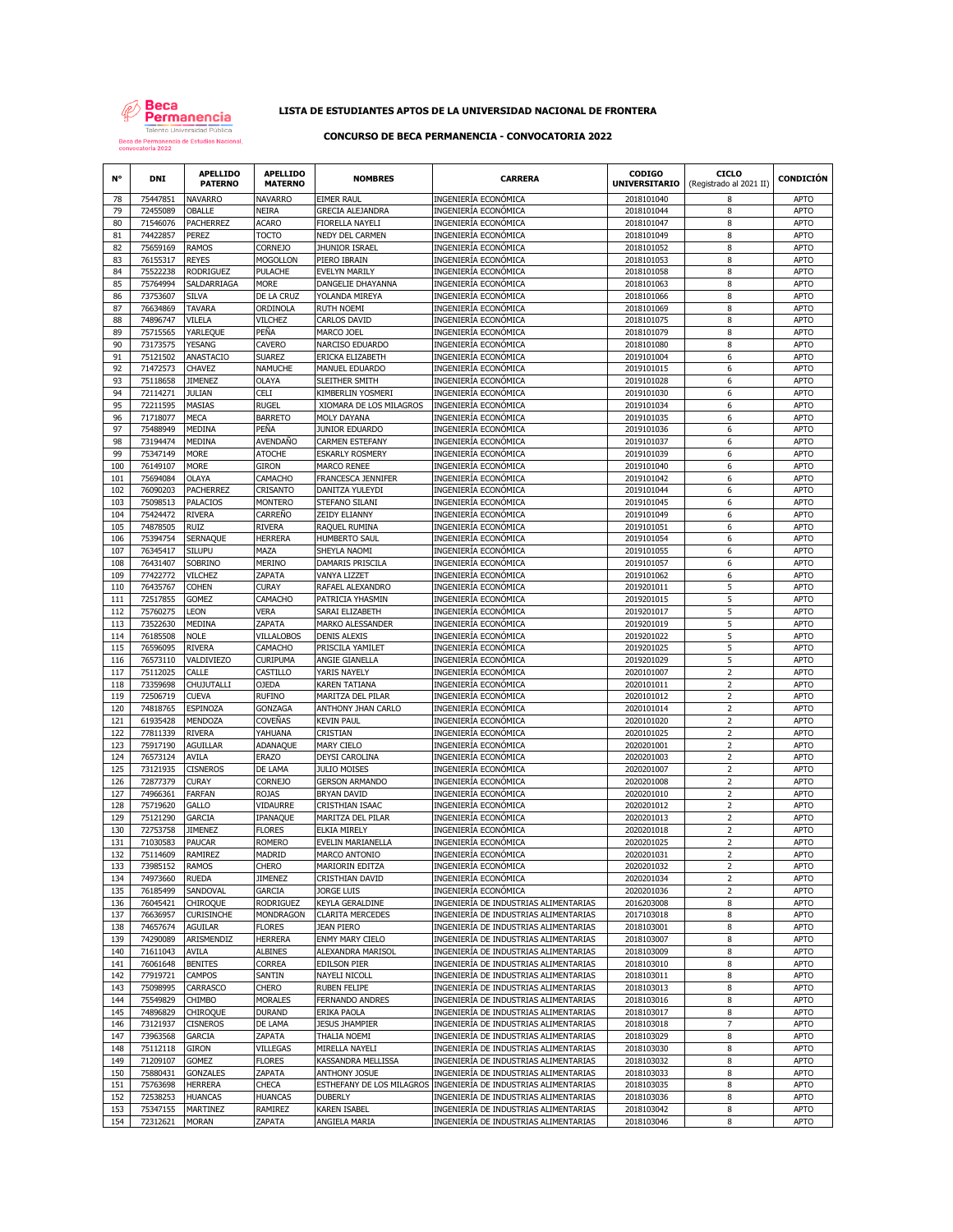

# **LISTA DE ESTUDIANTES APTOS DE LA UNIVERSIDAD NACIONAL DE FRONTERA**

## **CONCURSO DE BECA PERMANENCIA - CONVOCATORIA 2022**

| N°         | <b>DNI</b>           | <b>APELLIDO</b><br><b>PATERNO</b> | <b>APELLIDO</b><br><b>MATERNO</b> | <b>NOMBRES</b>                                | <b>CARRERA</b>                                                                 | <b>CODIGO</b><br><b>UNIVERSITARIO</b> | <b>CICLO</b><br>(Registrado al 2021 II) | <b>CONDICIÓN</b>           |
|------------|----------------------|-----------------------------------|-----------------------------------|-----------------------------------------------|--------------------------------------------------------------------------------|---------------------------------------|-----------------------------------------|----------------------------|
| 78         | 75447851             | <b>NAVARRO</b>                    | <b>NAVARRO</b>                    | <b>EIMER RAUL</b>                             | INGENIERÍA ECONÓMICA                                                           | 2018101040                            | 8                                       | <b>APTO</b>                |
| 79         | 72455089             | OBALLE                            | NEIRA                             | GRECIA ALEJANDRA                              | INGENIERÍA ECONÓMICA                                                           | 2018101044                            | 8                                       | <b>APTO</b>                |
| 80<br>81   | 71546076<br>74422857 | <b>PACHERREZ</b><br>PEREZ         | ACARO<br>тосто                    | FIORELLA NAYELI<br>NEDY DEL CARMEN            | INGENIERÍA ECONÓMICA<br>INGENIERÍA ECONÓMICA                                   | 2018101047<br>2018101049              | 8<br>8                                  | APTO<br><b>APTO</b>        |
| 82         | 75659169             | <b>RAMOS</b>                      | <b>CORNEJO</b>                    | JHUNIOR ISRAEL                                | INGENIERÍA ECONÓMICA                                                           | 2018101052                            | 8                                       | <b>APTO</b>                |
| 83         | 76155317             | <b>REYES</b>                      | MOGOLLON                          | PIERO IBRAIN                                  | INGENIERÍA ECONÓMICA                                                           | 2018101053                            | 8                                       | <b>APTO</b>                |
| 84         | 75522238             | <b>RODRIGUEZ</b>                  | PULACHE                           | EVELYN MARILY                                 | INGENIERÍA ECONÓMICA                                                           | 2018101058                            | 8                                       | <b>APTO</b>                |
| 85         | 75764994             | SALDARRIAGA                       | MORE                              | DANGELIE DHAYANNA                             | INGENIERÍA ECONÓMICA                                                           | 2018101063                            | 8                                       | <b>APTO</b>                |
| 86         | 73753607             | <b>SILVA</b>                      | DE LA CRUZ                        | YOLANDA MIREYA                                | INGENIERÍA ECONÓMICA                                                           | 2018101066                            | 8                                       | <b>APTO</b>                |
| 87<br>88   | 76634869<br>74896747 | <b>TAVARA</b><br>VILELA           | ORDINOLA<br>VILCHEZ               | <b>RUTH NOEMI</b><br><b>CARLOS DAVID</b>      | INGENIERÍA ECONÓMICA<br>INGENIERÍA ECONÓMICA                                   | 2018101069<br>2018101075              | 8<br>8                                  | <b>APTO</b><br><b>APTO</b> |
| 89         | 75715565             | YARLEQUE                          | PEÑA                              | MARCO JOEL                                    | INGENIERÍA ECONÓMICA                                                           | 2018101079                            | 8                                       | <b>APTO</b>                |
| 90         | 73173575             | YESANG                            | CAVERO                            | NARCISO EDUARDO                               | INGENIERÍA ECONÓMICA                                                           | 2018101080                            | 8                                       | APTO                       |
| 91         | 75121502             | ANASTACIO                         | SUARFZ                            | ERICKA ELIZABETH                              | INGENIERÍA ECONÓMICA                                                           | 2019101004                            | 6                                       | <b>APTO</b>                |
| 92         | 71472573             | CHAVEZ                            | NAMUCHE                           | MANUEL EDUARDO                                | INGENIERÍA ECONÓMICA                                                           | 2019101015                            | 6                                       | <b>APTO</b>                |
| 93         | 75118658<br>72114271 | <b>JIMENEZ</b>                    | OLAYA                             | SLEITHER SMITH                                | INGENIERÍA ECONÓMICA                                                           | 2019101028                            | 6                                       | <b>APTO</b>                |
| 94<br>95   | 72211595             | <b>JULIAN</b><br>MASIAS           | CELI<br>rugel                     | KIMBERLIN YOSMERI<br>XIOMARA DE LOS MILAGROS  | INGENIERÍA ECONÓMICA<br>INGENIERÍA ECONÓMICA                                   | 2019101030<br>2019101034              | 6<br>6                                  | <b>APTO</b><br><b>APTO</b> |
| 96         | 71718077             | <b>MECA</b>                       | <b>BARRETO</b>                    | MOLY DAYANA                                   | INGENIERÍA ECONÓMICA                                                           | 2019101035                            | 6                                       | <b>APTO</b>                |
| 97         | 75488949             | MEDINA                            | PEÑA                              | JUNIOR EDUARDO                                | INGENIERÍA ECONÓMICA                                                           | 2019101036                            | 6                                       | <b>APTO</b>                |
| 98         | 73194474             | MEDINA                            | AVENDAÑO                          | <b>CARMEN ESTEFANY</b>                        | INGENIERÍA ECONÓMICA                                                           | 2019101037                            | 6                                       | <b>APTO</b>                |
| 99         | 75347149             | <b>MORE</b>                       | ATOCHE                            | <b>ESKARLY ROSMERY</b>                        | INGENIERÍA ECONÓMICA                                                           | 2019101039                            | 6                                       | <b>APTO</b>                |
| 100        | 76149107             | <b>MORE</b>                       | giron                             | <b>MARCO RENEE</b>                            | INGENIERÍA ECONÓMICA                                                           | 2019101040                            | 6                                       | APTO                       |
| 101<br>102 | 75694084<br>76090203 | <b>OLAYA</b><br><b>PACHERREZ</b>  | CAMACHO<br>CRISANTO               | FRANCESCA JENNIFER<br>DANITZA YULEYDI         | INGENIERÍA ECONÓMICA<br>INGENIERÍA ECONÓMICA                                   | 2019101042<br>2019101044              | 6<br>6                                  | <b>APTO</b><br><b>APTO</b> |
| 103        | 75098513             | PALACIOS                          | <b>MONTERO</b>                    | STEFANO SILANI                                | INGENIERÍA ECONÓMICA                                                           | 2019101045                            | 6                                       | <b>APTO</b>                |
| 104        | 75424472             | <b>RIVERA</b>                     | CARREÑO                           | ZEIDY ELIANNY                                 | INGENIERÍA ECONÓMICA                                                           | 2019101049                            | 6                                       | <b>APTO</b>                |
| 105        | 74878505             | RUIZ                              | <b>RIVERA</b>                     | RAQUEL RUMINA                                 | INGENIERÍA ECONÓMICA                                                           | 2019101051                            | 6                                       | APTO                       |
| 106        | 75394754             | SERNAQUE                          | HERRERA                           | <b>HUMBERTO SAUL</b>                          | INGENIERÍA ECONÓMICA                                                           | 2019101054                            | 6                                       | <b>APTO</b>                |
| 107        | 76345417             | <b>SILUPU</b>                     | MAZA                              | SHEYLA NAOMI                                  | INGENIERÍA ECONÓMICA                                                           | 2019101055                            | 6                                       | <b>APTO</b>                |
| 108<br>109 | 76431407<br>77422772 | SOBRINO<br><b>VILCHEZ</b>         | <b>MERINO</b><br>ZAPATA           | DAMARIS PRISCILA<br>VANYA LIZZET              | INGENIERÍA ECONÓMICA<br>INGENIERÍA ECONÓMICA                                   | 2019101057<br>2019101062              | 6<br>6                                  | <b>APTO</b><br><b>APTO</b> |
| 110        | 76435767             | <b>COHEN</b>                      | CURAY                             | RAFAEL ALEXANDRO                              | INGENIERÍA ECONÓMICA                                                           | 2019201011                            | 5                                       | <b>APTO</b>                |
| 111        | 72517855             | <b>GOMEZ</b>                      | CAMACHO                           | PATRICIA YHASMIN                              | INGENIERÍA ECONÓMICA                                                           | 2019201015                            | 5                                       | <b>APTO</b>                |
| 112        | 75760275             | LEON                              | VERA                              | SARAI ELIZABETH                               | INGENIERÍA ECONÓMICA                                                           | 2019201017                            | 5                                       | <b>APTO</b>                |
| 113        | 73522630             | MEDINA                            | ZAPATA                            | MARKO ALESSANDER                              | INGENIERÍA ECONÓMICA                                                           | 2019201019                            | 5                                       | <b>APTO</b>                |
| 114        | 76185508             | <b>NOLE</b>                       | VILLALOBOS                        | <b>DENIS ALEXIS</b>                           | INGENIERÍA ECONÓMICA                                                           | 2019201022                            | 5                                       | <b>APTO</b>                |
| 115        | 76596095<br>76573110 | <b>RIVERA</b><br>VALDIVIEZO       | CAMACHO<br>CURIPUMA               | PRISCILA YAMILET                              | INGENIERÍA ECONÓMICA<br>INGENIERÍA ECONÓMICA                                   | 2019201025<br>2019201029              | 5<br>5                                  | <b>APTO</b><br><b>APTO</b> |
| 116<br>117 | 75112025             | CALLE                             | CASTILLO                          | ANGIE GIANELLA<br>YARIS NAYELY                | INGENIERÍA ECONÓMICA                                                           | 2020101007                            | 2                                       | <b>APTO</b>                |
| 118        | 73359698             | CHUJUTALLI                        | <b>OJEDA</b>                      | KAREN TATIANA                                 | INGENIERÍA ECONÓMICA                                                           | 2020101011                            | $\overline{2}$                          | <b>APTO</b>                |
| 119        | 72506719             | <b>CUEVA</b>                      | <b>RUFINO</b>                     | MARITZA DEL PILAR                             | INGENIERÍA ECONÓMICA                                                           | 2020101012                            | $\overline{2}$                          | <b>APTO</b>                |
| 120        | 74818765             | ESPINOZA                          | GONZAGA                           | ANTHONY JHAN CARLO                            | INGENIERÍA ECONÓMICA                                                           | 2020101014                            | $\overline{2}$                          | <b>APTO</b>                |
| 121        | 61935428             | MENDOZA                           | COVEÑAS                           | <b>KEVIN PAUL</b>                             | INGENIERÍA ECONÓMICA                                                           | 2020101020                            | $\overline{2}$                          | <b>APTO</b>                |
| 122<br>123 | 77811339<br>75917190 | <b>RIVERA</b><br><b>AGUILLAR</b>  | YAHUANA                           | CRISTIAN                                      | INGENIERÍA ECONÓMICA                                                           | 2020101025<br>2020201001              | $\mathsf 2$<br>$\overline{2}$           | <b>APTO</b><br><b>APTO</b> |
| 124        | 76573124             | AVILA                             | ADANAQUE<br><b>ERAZO</b>          | MARY CIELO<br>DEYSI CAROLINA                  | INGENIERÍA ECONÓMICA<br>INGENIERÍA ECONÓMICA                                   | 2020201003                            | $\overline{2}$                          | <b>APTO</b>                |
| 125        | 73121935             | <b>CISNEROS</b>                   | DE LAMA                           | <b>JULIO MOISES</b>                           | INGENIERÍA ECONÓMICA                                                           | 2020201007                            | $\overline{2}$                          | <b>APTO</b>                |
| 126        | 72877379             | CURAY                             | <b>CORNEJO</b>                    | <b>GERSON ARMANDO</b>                         | INGENIERÍA ECONÓMICA                                                           | 2020201008                            | $\overline{2}$                          | <b>APTO</b>                |
| 127        | 74966361             | <b>FARFAN</b>                     | <b>ROJAS</b>                      | <b>BRYAN DAVID</b>                            | INGENIERÍA ECONÓMICA                                                           | 2020201010                            | $\mathsf 2$                             | <b>APTO</b>                |
| 128        | 75719620             | GALLO                             | VIDAURRE                          | CRISTHIAN ISAAC                               | INGENIERÍA ECONÓMICA                                                           | 2020201012                            | 2                                       | <b>APTO</b>                |
| 129<br>130 | 75121290<br>72753758 | GARCIA<br><b>JIMENEZ</b>          | IPANAQUE<br><b>FLORES</b>         | MARITZA DEL PILAR<br>ELKIA MIRELY             | INGENIERÍA ECONÓMICA<br>INGENIERÍA ECONÓMICA                                   | 2020201013<br>2020201018              | $\mathsf{2}$<br>2                       | <b>APTO</b><br><b>APTO</b> |
| 131        | 71030583             | PAUCAR                            | Romero                            | EVELIN MARIANELLA                             | INGENIERÍA ECONÓMICA                                                           | 2020201025                            | $\overline{2}$                          | <b>APTO</b>                |
| 132        | 75114609             | RAMIREZ                           | MADRID                            | MARCO ANTONIO                                 | INGENIERÍA ECONÓMICA                                                           | 2020201031                            | $\overline{2}$                          | <b>APTO</b>                |
| 133        | 73985152             | RAMOS                             | <b>CHERO</b>                      | MARIORIN EDITZA                               | INGENIERIA ECONOMICA                                                           | 2020201032                            |                                         | APTO                       |
| 134        | 74973660             | <b>RUEDA</b>                      | JIMENEZ                           | <b>CRISTHIAN DAVID</b>                        | INGENIERÍA ECONÓMICA                                                           | 2020201034                            | $\overline{2}$                          | <b>APTO</b>                |
| 135        | 76185499             | SANDOVAL                          | GARCIA                            | JORGE LUIS                                    | INGENIERÍA ECONÓMICA                                                           | 2020201036                            | $\overline{2}$                          | APTO                       |
| 136<br>137 | 76045421<br>76636957 | CHIROQUE<br><b>CURISINCHE</b>     | RODRIGUEZ<br>MONDRAGON            | KEYLA GERALDINE<br><b>CLARITA MERCEDES</b>    | INGENIERÍA DE INDUSTRIAS ALIMENTARIAS<br>INGENIERÍA DE INDUSTRIAS ALIMENTARIAS | 2016203008<br>2017103018              | 8<br>8                                  | APTO<br><b>APTO</b>        |
| 138        | 74657674             | <b>AGUILAR</b>                    | <b>FLORES</b>                     | <b>JEAN PIERO</b>                             | INGENIERÍA DE INDUSTRIAS ALIMENTARIAS                                          | 2018103001                            | 8                                       | <b>APTO</b>                |
| 139        | 74290089             | ARISMENDIZ                        | <b>HERRERA</b>                    | ENMY MARY CIELO                               | INGENIERÍA DE INDUSTRIAS ALIMENTARIAS                                          | 2018103007                            | 8                                       | <b>APTO</b>                |
| 140        | 71611043             | AVILA                             | <b>ALBINES</b>                    | ALEXANDRA MARISOL                             | INGENIERÍA DE INDUSTRIAS ALIMENTARIAS                                          | 2018103009                            | 8                                       | APTO                       |
| 141        | 76061648             | <b>BENITES</b>                    | CORREA                            | <b>EDILSON PIER</b>                           | INGENIERÍA DE INDUSTRIAS ALIMENTARIAS                                          | 2018103010                            | 8                                       | APTO                       |
| 142        | 77919721             | CAMPOS                            | SANTIN                            | NAYELI NICOLL                                 | INGENIERÍA DE INDUSTRIAS ALIMENTARIAS                                          | 2018103011                            | 8                                       | <b>APTO</b>                |
| 143<br>144 | 75098995<br>75549829 | CARRASCO<br>CHIMBO                | CHERO<br><b>MORALES</b>           | <b>RUBEN FELIPE</b><br><b>FERNANDO ANDRES</b> | INGENIERÍA DE INDUSTRIAS ALIMENTARIAS<br>INGENIERÍA DE INDUSTRIAS ALIMENTARIAS | 2018103013<br>2018103016              | 8<br>8                                  | <b>APTO</b><br><b>APTO</b> |
| 145        | 74896829             | CHIROQUE                          | <b>DURAND</b>                     | ERIKA PAOLA                                   | INGENIERÍA DE INDUSTRIAS ALIMENTARIAS                                          | 2018103017                            | 8                                       | <b>APTO</b>                |
| 146        | 73121937             | <b>CISNEROS</b>                   | DE LAMA                           | <b>JESUS JHAMPIER</b>                         | INGENIERÍA DE INDUSTRIAS ALIMENTARIAS                                          | 2018103018                            | 7                                       | APTO                       |
| 147        | 73963568             | GARCIA                            | ZAPATA                            | THALIA NOEMI                                  | INGENIERÍA DE INDUSTRIAS ALIMENTARIAS                                          | 2018103029                            | 8                                       | <b>APTO</b>                |
| 148        | 75112118             | <b>GIRON</b>                      | VILLEGAS                          | MIRELLA NAYELI                                | INGENIERÍA DE INDUSTRIAS ALIMENTARIAS                                          | 2018103030                            | 8                                       | <b>APTO</b>                |
| 149        | 71209107             | GOMEZ                             | <b>FLORES</b>                     | KASSANDRA MELLISSA                            | INGENIERÍA DE INDUSTRIAS ALIMENTARIAS                                          | 2018103032                            | 8                                       | APTO                       |
| 150        | 75880431             | <b>GONZALES</b>                   | ZAPATA                            | ANTHONY JOSUE                                 | INGENIERÍA DE INDUSTRIAS ALIMENTARIAS                                          | 2018103033                            | 8                                       | APTO                       |
| 151<br>152 | 75763698<br>72538253 | <b>HERRERA</b><br><b>HUANCAS</b>  | CHECA<br><b>HUANCAS</b>           | ESTHEFANY DE LOS MILAGROS<br><b>DUBERLY</b>   | INGENIERÍA DE INDUSTRIAS ALIMENTARIAS<br>INGENIERÍA DE INDUSTRIAS ALIMENTARIAS | 2018103035<br>2018103036              | 8<br>8                                  | APTO<br><b>APTO</b>        |
| 153        | 75347155             | MARTINEZ                          | RAMIREZ                           | <b>KAREN ISABEL</b>                           | INGENIERÍA DE INDUSTRIAS ALIMENTARIAS                                          | 2018103042                            | 8                                       | <b>APTO</b>                |
| 154        | 72312621             | <b>MORAN</b>                      | ZAPATA                            | ANGIELA MARIA                                 | INGENIERÍA DE INDUSTRIAS ALIMENTARIAS                                          | 2018103046                            | 8                                       | <b>APTO</b>                |